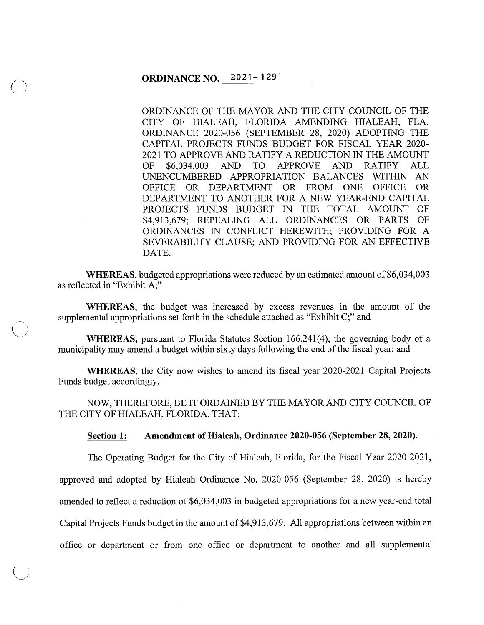## **ORDINANCE NO.** 2021-'129

ORDINANCE OF THE MAYOR AND THE CITY COUNCIL OF THE CITY OF HIALEAH, FLORIDA AMENDING HIALEAH, FLA. ORDINANCE 2020-056 (SEPTEMBER 28, 2020) ADOPTING THE CAPITAL PROJECTS FUNDS BUDGET FOR FISCAL YEAR 2020- 2021 TO APPROVE AND RATIFY A REDUCTION IN THE AMOUNT OF \$6,034,003 AND TO APPROVE AND RATIFY ALL UNENCUMBERED APPROPRIATION BALANCES WITHIN AN OFFICE OR DEPARTMENT OR FROM ONE OFFICE OR DEPARTMENT TO ANOTHER FOR A NEW YEAR-END CAPITAL PROJECTS FUNDS BUDGET IN THE TOTAL AMOUNT OF \$4,913,679; REPEALING ALL ORDINANCES OR PARTS OF ORDINANCES IN CONFLICT HEREWITH; PROVIDING FOR A SEVERABILITY CLAUSE; AND PROVIDING FOR AN EFFECTIVE DATE.

**WHEREAS,** budgeted appropriations were reduced by an estimated amount of \$6,034,003 as reflected in "Exhibit A;"

**WHEREAS,** the budget was increased by excess revenues in the amount of the supplemental appropriations set forth in the schedule attached as "Exhibit C;" and

 $\bigcirc$ 

**WHEREAS,** pursuant to Florida Statutes Section 166.241(4), the governing body of a municipality may amend a budget within sixty days following the end of the fiscal year; and

**WHEREAS,** the City now wishes to amend its fiscal year 2020-2021 Capital Projects Funds budget accordingly.

NOW, THEREFORE, BE IT ORDAINED BY THE MAYOR AND CITY COUNCIL OF THE CITY OF HIALEAH, FLORIDA, THAT:

**Section 1: Amendment of Hialeah, Ordinance 2020-056 (September 28, 2020).** 

The Operating Budget for the City of Hialeah, Florida, for the Fiscal Year 2020-2021,

approved and adopted by Hialeah Ordinance No. 2020-056 (September 28, 2020) is hereby

amended to reflect a reduction of \$6,034,003 in budgeted appropriations for a new year-end total

Capital Projects Funds budget in the amount of \$4,913,679. All appropriations between within an

office or department or from one office or department to another and all supplemental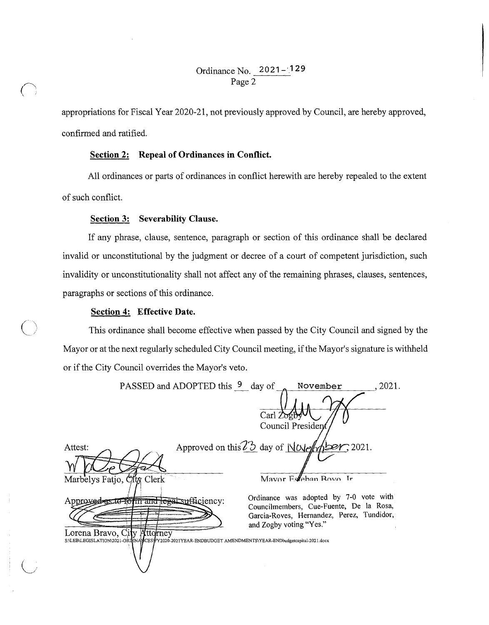appropriations for Fiscal Year 2020-21, not previously approved by Council, are hereby approved, confirmed and ratified.

### **Section 2: Repeal of Ordinances in Conflict.**

All ordinances or parts of ordinances in conflict herewith are hereby repealed to the extent of such conflict.

### **Section 3: Severability Clause.**

If any phrase, clause, sentence, paragraph or section of this ordinance shall be declared invalid or unconstitutional by the judgment or decree of a court of competent jurisdiction, such invalidity or unconstitutionality shall not affect any of the remaining phrases, clauses, sentences, paragraphs or sections of this ordinance.

#### **Section 4: Effective Date.**

 $\bigcirc$ 

This ordinance shall become effective when passed by the City Council and signed by the Mayor or at the next regularly scheduled City Council meeting, if the Mayor's signature is withheld or if the City Council overrides the Mayor's veto.

| PASSED and ADOPTED this 9 day of                                                                                                        | .2021.<br>November                                                                                                             |
|-----------------------------------------------------------------------------------------------------------------------------------------|--------------------------------------------------------------------------------------------------------------------------------|
|                                                                                                                                         | $\text{Carl} \, \text{Zofb}$                                                                                                   |
|                                                                                                                                         | Council President                                                                                                              |
| Attest:                                                                                                                                 | Approved on this $73$ day of NO(employer, 2021.                                                                                |
|                                                                                                                                         |                                                                                                                                |
| Marbelys Fatjo, City Clerk                                                                                                              | Mayor Esteban Royo Ir                                                                                                          |
| Approved as to form and legal sufficiency:                                                                                              | Ordinance was adopted by 7-0 vote with<br>Councilmembers, Cue-Fuente, De la Rosa,<br>Garcia-Roves, Hernandez, Perez, Tundidor, |
| Lorena Bravo, City Attorney<br>S:\LEB\LEGISLATION\2021-ORLINA\MCES\FY2020-2021YEAR-ENDBUDGET AMENDMENTS\YEAR-ENDbudgetcapital-2021.docx | and Zogby voting "Yes."                                                                                                        |
|                                                                                                                                         |                                                                                                                                |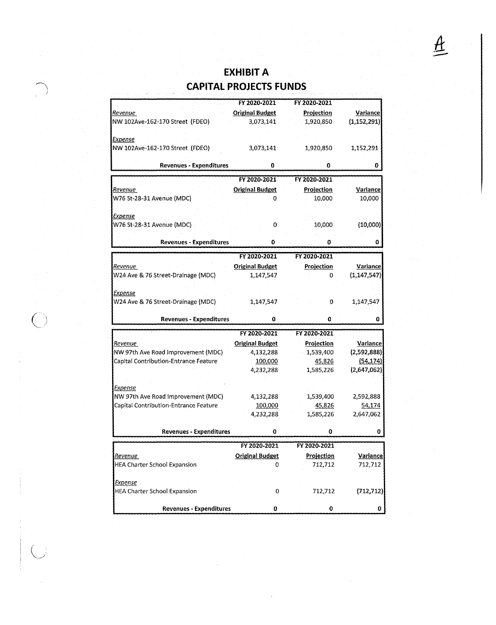# **EXHIBIT A CAPITAL PROJECTS FUNDS**

.....--.-\ i

 $\overline{O}$ 

|                                       | FY 2020-2021                | FY 2020-2021      |                 |
|---------------------------------------|-----------------------------|-------------------|-----------------|
| <u>Revenue</u>                        | <b>Original Budget</b>      | Projection        | Variance        |
| NW 102Ave-162-170 Street (FDEO)       | 3,073,141                   | 1,920,850         | (1, 152, 291)   |
|                                       |                             |                   |                 |
| Expense                               |                             |                   |                 |
| NW 102Ave-162-170 Street (FDEO)       | 3,073,141                   | 1,920,850         | 1,152,291       |
| <b>Revenues - Expenditures</b>        | 0                           | 0                 | o               |
|                                       |                             |                   |                 |
|                                       | FY 2020-2021                | FY 2020-2021      |                 |
| Revenue                               | <b>Original Budget</b><br>o | Projection        | Variance        |
| W76 St-28-31 Avenue (MDC)             |                             | 10,000            | 10,000          |
| <b>Expense</b>                        |                             |                   |                 |
| W76 St-28-31 Avenue (MDC)             | 0                           | 10,000            | (10,000)        |
|                                       |                             |                   |                 |
| <b>Revenues - Expenditures</b>        | 0                           | 0                 | 0               |
|                                       | FY 2020-2021                | FY 2020-2021      |                 |
| Revenue                               | <b>Original Budget</b>      | <b>Projection</b> | <b>Variance</b> |
| W24 Ave & 76 Street-Drainage (MDC)    | 1,147,547                   | 0                 | (1, 147, 547)   |
|                                       |                             |                   |                 |
| Expense                               |                             |                   |                 |
| W24 Ave & 76 Street-Drainage (MDC)    | 1,147,547                   | 0                 | 1,147,547       |
|                                       | 0                           | 0                 |                 |
| <b>Revenues - Expenditures</b>        |                             |                   | 0               |
|                                       | FY 2020-2021                | FY 2020-2021      |                 |
| <u>Revenue </u>                       | <b>Original Budget</b>      | Projection        | Variance        |
| NW 97th Ave Road Improvement (MDC)    | 4,132,288                   | 1,539,400         | (2,592,888)     |
| Capital Contribution-Entrance Feature | 100,000                     | 45,826            | (54, 174)       |
|                                       | 4,232,288                   | 1,585,226         | (2,647,062)     |
| <b>Expense</b>                        |                             |                   |                 |
| NW 97th Ave Road Improvement (MDC)    | 4,132,288                   | 1,539,400         | 2,592,888       |
| Capital Contribution-Entrance Feature | 100,000                     | 45,826            | 54,174          |
|                                       | 4,232,288                   | 1,585,226         | 2,647,062       |
|                                       |                             |                   |                 |
| <b>Revenues - Expenditures</b>        | 0                           | 0                 | 0               |
|                                       | FY 2020-2021                | FY 2020-2021      |                 |
| <u>Revenue</u>                        | <b>Original Budget</b>      | Projection        | Variance        |
| <b>HEA Charter School Expansion</b>   | 0                           | 712,712           | 712,712         |
|                                       |                             |                   |                 |
| <b>Expense</b>                        |                             |                   |                 |
| <b>HEA Charter School Expansion</b>   | 0                           | 712,712           | (712, 712)      |
|                                       |                             |                   |                 |
| <b>Revenues - Expenditures</b>        | 0                           | 0                 | 0               |

 $\underline{\mathcal{A}}$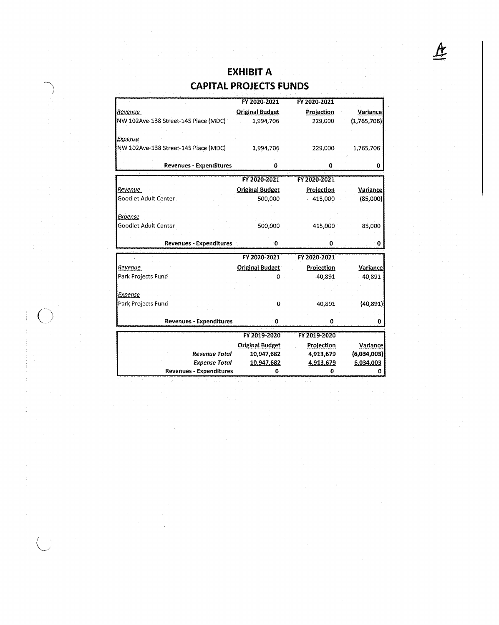## **EXHIBIT A CAPITAL PROJECTS FUNDS**

|                                       | FY 2020-2021             | FY 2020-2021           |                                             |
|---------------------------------------|--------------------------|------------------------|---------------------------------------------|
| Revenue                               | <b>Original Budget</b>   | Projection             | Variance                                    |
| NW 102Ave-138 Street-145 Place (MDC)  | 1,994,706                | 229,000                | (1,765,706)                                 |
|                                       |                          |                        |                                             |
| Expense                               |                          |                        |                                             |
| NW 102Ave-138 Street-145 Place (MDC)  | 1,994,706                | 229,000                | 1,765,706                                   |
|                                       |                          |                        |                                             |
| <b>Revenues - Expenditures</b>        | 0                        | $\bf o$                | 0                                           |
|                                       | FY 2020-2021             | FY 2020-2021           |                                             |
| Revenue                               | <b>Original Budget</b>   | Projection             | Variance                                    |
| Goodlet Adult Center                  | 500,000                  | 415,000                |                                             |
|                                       |                          |                        | (85,000)                                    |
| Expense                               |                          |                        |                                             |
| Goodlet Adult Center                  | 500,000                  | 415,000                | 85,000                                      |
|                                       |                          |                        |                                             |
| <b>Revenues - Expenditures</b>        | 0                        | 0                      | o                                           |
|                                       | FY 2020-2021             | FY 2020-2021           |                                             |
|                                       |                          |                        |                                             |
|                                       |                          |                        |                                             |
| Revenue                               | <b>Original Budget</b>   | Projection             | Variance                                    |
| Park Projects Fund                    | 0                        | 40,891                 | 40,891                                      |
|                                       |                          |                        |                                             |
| <u>Expense</u>                        | o                        |                        |                                             |
| Park Projects Fund                    |                          | 40,891                 | (40, 891)                                   |
| <b>Revenues - Expenditures</b>        | 0                        | 0                      | o                                           |
|                                       |                          |                        |                                             |
|                                       | FY 2019-2020             | FY 2019-2020           |                                             |
|                                       | <b>Original Budget</b>   | Projection             |                                             |
| Revenue Total<br><b>Expense Total</b> | 10,947,682<br>10,947,682 | 4,913,679<br>4,913,679 | <b>Variance</b><br>(6,034,003)<br>6,034,003 |

 $\bigcirc$ /

 $\bigcup$